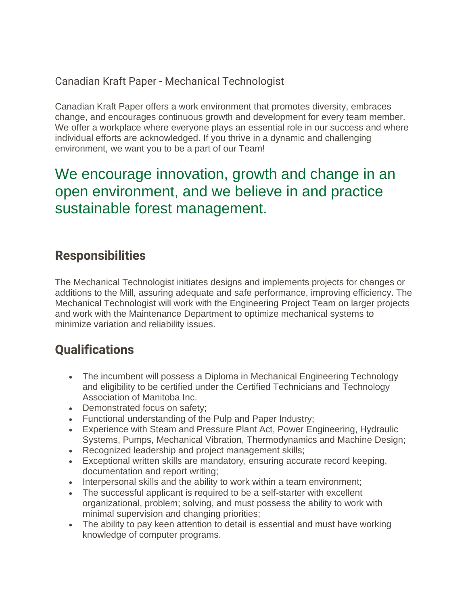#### Canadian Kraft Paper - Mechanical Technologist

Canadian Kraft Paper offers a work environment that promotes diversity, embraces change, and encourages continuous growth and development for every team member. We offer a workplace where everyone plays an essential role in our success and where individual efforts are acknowledged. If you thrive in a dynamic and challenging environment, we want you to be a part of our Team!

### We encourage innovation, growth and change in an open environment, and we believe in and practice sustainable forest management.

### **Responsibilities**

The Mechanical Technologist initiates designs and implements projects for changes or additions to the Mill, assuring adequate and safe performance, improving efficiency. The Mechanical Technologist will work with the Engineering Project Team on larger projects and work with the Maintenance Department to optimize mechanical systems to minimize variation and reliability issues.

### **Qualifications**

- The incumbent will possess a Diploma in Mechanical Engineering Technology and eligibility to be certified under the Certified Technicians and Technology Association of Manitoba Inc.
- Demonstrated focus on safety;
- Functional understanding of the Pulp and Paper Industry;
- Experience with Steam and Pressure Plant Act, Power Engineering, Hydraulic Systems, Pumps, Mechanical Vibration, Thermodynamics and Machine Design;
- Recognized leadership and project management skills;
- Exceptional written skills are mandatory, ensuring accurate record keeping, documentation and report writing;
- Interpersonal skills and the ability to work within a team environment;
- The successful applicant is required to be a self-starter with excellent organizational, problem; solving, and must possess the ability to work with minimal supervision and changing priorities;
- The ability to pay keen attention to detail is essential and must have working knowledge of computer programs.